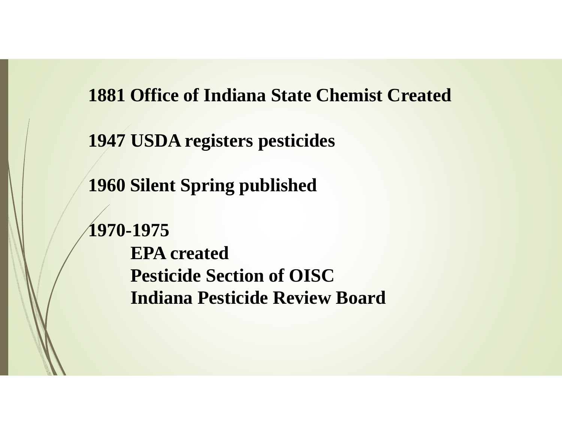**1881 Office of Indiana State Chemist Created**

**1947 USDA registers pesticides**

**1960 Silent Spring published**

**1970-1975 EPA createdPesticide Section of OISCIndiana Pesticide Review Board**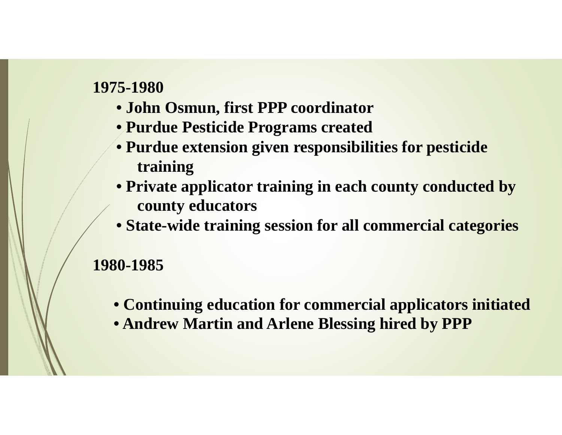- **John Osmun, first PPP coordinator**
- **Purdue Pesticide Programs created**
- **Purdue extension given responsibilities for pesticide training**
- **Private applicator training in each county conducted by county educators**
- **State-wide training session for all commercial categories**

- **Continuing education for commercial applicators initiated**
- **Andrew Martin and Arlene Blessing hired by PPP**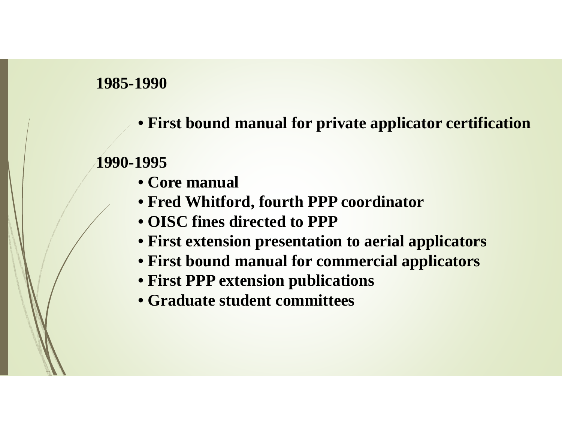**• First bound manual for private applicator certification**

- **Core manual**
- **Fred Whitford, fourth PPP coordinator**
- **OISC fines directed to PPP**
- **First extension presentation to aerial applicators**
- **First bound manual for commercial applicators**
- **First PPP extension publications**
- **Graduate student committees**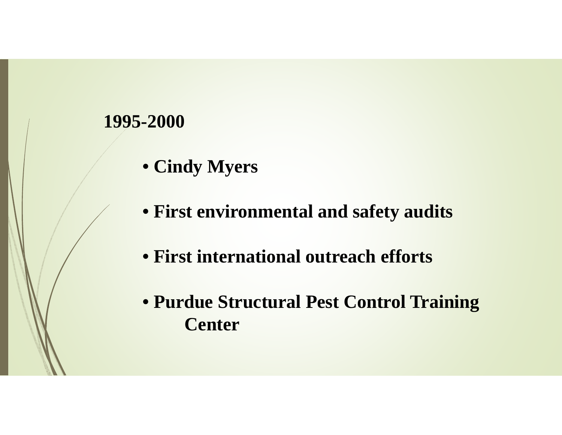- **Cindy Myers**
- **First environmental and safety audits**
- **First international outreach efforts**
- **Purdue Structural Pest Control Training Center**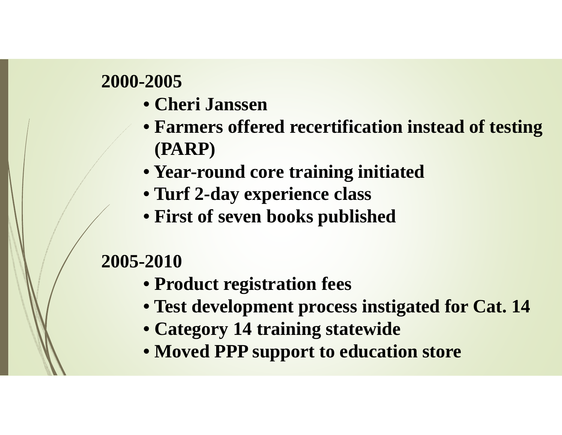- **Cheri Janssen**
- **Farmers offered recertification instead of testing (PARP)**
- **Year-round core training initiated**
- **Turf 2-day experience class**
- **First of seven books published**

- **Product registration fees**
- **Test development process instigated for Cat. 14**
- **Category 14 training statewide**
- **Moved PPP support to education store**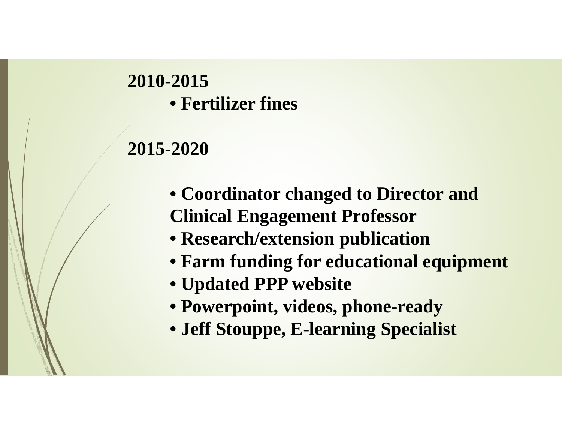## **2010-2015• Fertilizer fines**

- **Coordinator changed to Director and Clinical Engagement Professor**
- **Research/extension publication**
- **Farm funding for educational equipment**
- **Updated PPP website**
- **Powerpoint, videos, phone-ready**
- **Jeff Stouppe, E-learning Specialist**